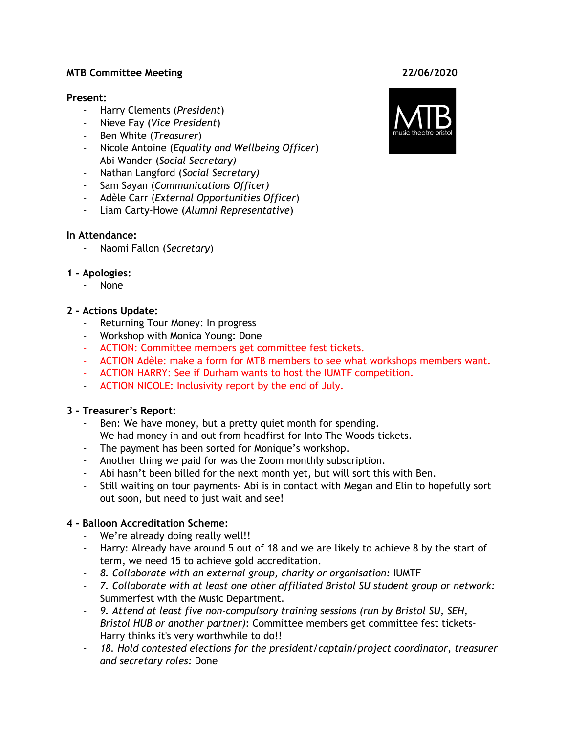#### **MTB Committee Meeting 22/06/2020**

#### **Present:**

- Harry Clements (*President*)
- Nieve Fay (*Vice President*)
- Ben White (*Treasurer*)
- Nicole Antoine (*Equality and Wellbeing Officer*)
- Abi Wander (*Social Secretary)*
- Nathan Langford (*Social Secretary)*
- Sam Sayan (*Communications Officer)*
- Adèle Carr (*External Opportunities Officer*)
- Liam Carty-Howe (*Alumni Representative*)

#### **In Attendance:**

- Naomi Fallon (*Secretary*)

#### **1 - Apologies:**

- None

#### **2 - Actions Update:**

- Returning Tour Money: In progress
- Workshop with Monica Young: Done
- ACTION: Committee members get committee fest tickets.
- ACTION Adèle: make a form for MTB members to see what workshops members want.
- ACTION HARRY: See if Durham wants to host the IUMTF competition.
- ACTION NICOLE: Inclusivity report by the end of July.

#### **3 - Treasurer's Report:**

- Ben: We have money, but a pretty quiet month for spending.
- We had money in and out from headfirst for Into The Woods tickets.
- The payment has been sorted for Monique's workshop.
- Another thing we paid for was the Zoom monthly subscription.
- Abi hasn't been billed for the next month yet, but will sort this with Ben.
- Still waiting on tour payments- Abi is in contact with Megan and Elin to hopefully sort out soon, but need to just wait and see!

#### **4 - Balloon Accreditation Scheme:**

- We're already doing really well!!
- Harry: Already have around 5 out of 18 and we are likely to achieve 8 by the start of term, we need 15 to achieve gold accreditation.
- *8. Collaborate with an external group, charity or organisation:* IUMTF
- *7. Collaborate with at least one other affiliated Bristol SU student group or network:* Summerfest with the Music Department.
- *9. Attend at least five non-compulsory training sessions (run by Bristol SU, SEH, Bristol HUB or another partner)*: Committee members get committee fest tickets-Harry thinks it's very worthwhile to do!!
- *18. Hold contested elections for the president/captain/project coordinator, treasurer and secretary roles:* Done

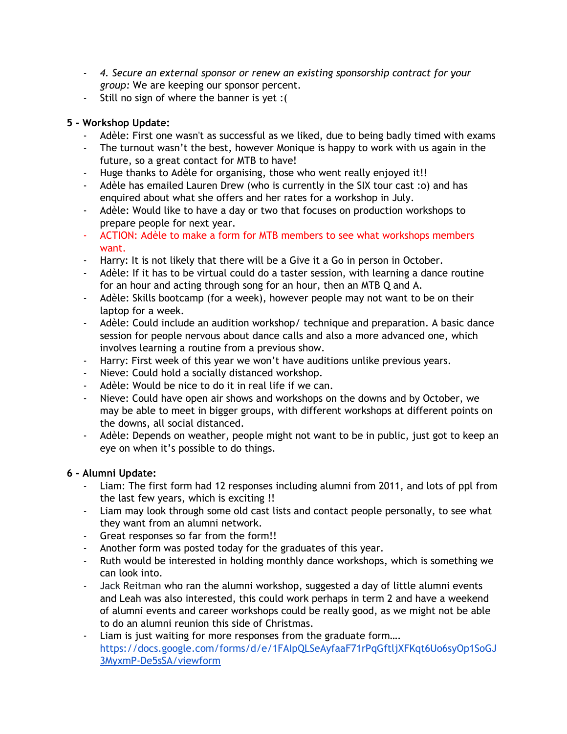- *4. Secure an external sponsor or renew an existing sponsorship contract for your group:* We are keeping our sponsor percent.
- Still no sign of where the banner is yet :(

## **5 - Workshop Update:**

- Adèle: First one wasn't as successful as we liked, due to being badly timed with exams
- The turnout wasn't the best, however Monique is happy to work with us again in the future, so a great contact for MTB to have!
- Huge thanks to Adèle for organising, those who went really enjoyed it!!
- Adèle has emailed Lauren Drew (who is currently in the SIX tour cast :o) and has enquired about what she offers and her rates for a workshop in July.
- Adèle: Would like to have a day or two that focuses on production workshops to prepare people for next year.
- ACTION: Adèle to make a form for MTB members to see what workshops members want.
- Harry: It is not likely that there will be a Give it a Go in person in October.
- Adèle: If it has to be virtual could do a taster session, with learning a dance routine for an hour and acting through song for an hour, then an MTB Q and A.
- Adèle: Skills bootcamp (for a week), however people may not want to be on their laptop for a week.
- Adèle: Could include an audition workshop/ technique and preparation. A basic dance session for people nervous about dance calls and also a more advanced one, which involves learning a routine from a previous show.
- Harry: First week of this year we won't have auditions unlike previous years.
- Nieve: Could hold a socially distanced workshop.
- Adèle: Would be nice to do it in real life if we can.
- Nieve: Could have open air shows and workshops on the downs and by October, we may be able to meet in bigger groups, with different workshops at different points on the downs, all social distanced.
- Adèle: Depends on weather, people might not want to be in public, just got to keep an eye on when it's possible to do things.

## **6 - Alumni Update:**

- Liam: The first form had 12 responses including alumni from 2011, and lots of ppl from the last few years, which is exciting !!
- Liam may look through some old cast lists and contact people personally, to see what they want from an alumni network.
- Great responses so far from the form!!
- Another form was posted today for the graduates of this year.
- Ruth would be interested in holding monthly dance workshops, which is something we can look into.
- Jack Reitman who ran the alumni workshop, suggested a day of little alumni events and Leah was also interested, this could work perhaps in term 2 and have a weekend of alumni events and career workshops could be really good, as we might not be able to do an alumni reunion this side of Christmas.
- Liam is just waiting for more responses from the graduate form.... [https://docs.google.com/forms/d/e/1FAIpQLSeAyfaaF71rPqGftljXFKqt6Uo6syOp1SoGJ](https://docs.google.com/forms/d/e/1FAIpQLSeAyfaaF71rPqGftljXFKqt6Uo6syOp1SoGJ3MyxmP-De5sSA/viewform) [3MyxmP-De5sSA/viewform](https://docs.google.com/forms/d/e/1FAIpQLSeAyfaaF71rPqGftljXFKqt6Uo6syOp1SoGJ3MyxmP-De5sSA/viewform)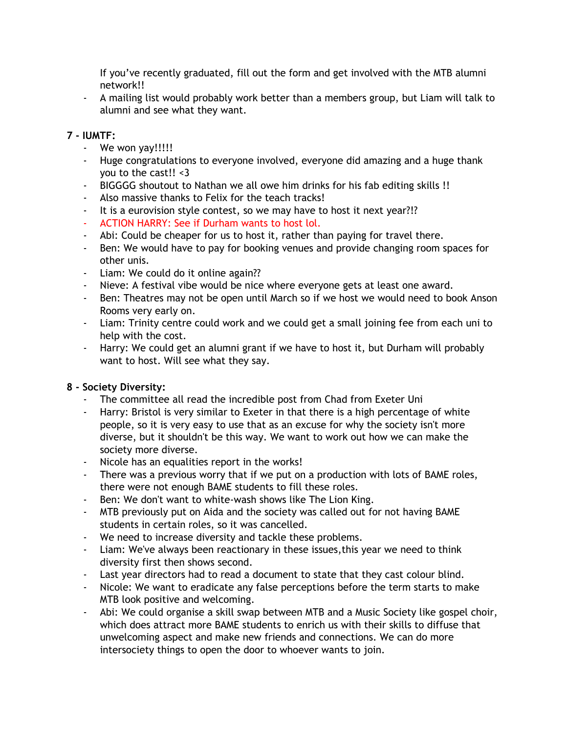If you've recently graduated, fill out the form and get involved with the MTB alumni network!!

- A mailing list would probably work better than a members group, but Liam will talk to alumni and see what they want.

## **7 - IUMTF:**

- We won yay!!!!!
- Huge congratulations to everyone involved, everyone did amazing and a huge thank you to the cast!! <3
- BIGGGG shoutout to Nathan we all owe him drinks for his fab editing skills !!
- Also massive thanks to Felix for the teach tracks!
- It is a eurovision style contest, so we may have to host it next year?!?
- ACTION HARRY: See if Durham wants to host lol.
- Abi: Could be cheaper for us to host it, rather than paying for travel there.
- Ben: We would have to pay for booking venues and provide changing room spaces for other unis.
- Liam: We could do it online again??
- Nieve: A festival vibe would be nice where everyone gets at least one award.
- Ben: Theatres may not be open until March so if we host we would need to book Anson Rooms very early on.
- Liam: Trinity centre could work and we could get a small joining fee from each uni to help with the cost.
- Harry: We could get an alumni grant if we have to host it, but Durham will probably want to host. Will see what they say.

#### **8 - Society Diversity:**

- The committee all read the incredible post from Chad from Exeter Uni
- Harry: Bristol is very similar to Exeter in that there is a high percentage of white people, so it is very easy to use that as an excuse for why the society isn't more diverse, but it shouldn't be this way. We want to work out how we can make the society more diverse.
- Nicole has an equalities report in the works!
- There was a previous worry that if we put on a production with lots of BAME roles, there were not enough BAME students to fill these roles.
- Ben: We don't want to white-wash shows like The Lion King.
- MTB previously put on Aida and the society was called out for not having BAME students in certain roles, so it was cancelled.
- We need to increase diversity and tackle these problems.
- Liam: We've always been reactionary in these issues,this year we need to think diversity first then shows second.
- Last year directors had to read a document to state that they cast colour blind.
- Nicole: We want to eradicate any false perceptions before the term starts to make MTB look positive and welcoming.
- Abi: We could organise a skill swap between MTB and a Music Society like gospel choir, which does attract more BAME students to enrich us with their skills to diffuse that unwelcoming aspect and make new friends and connections. We can do more intersociety things to open the door to whoever wants to join.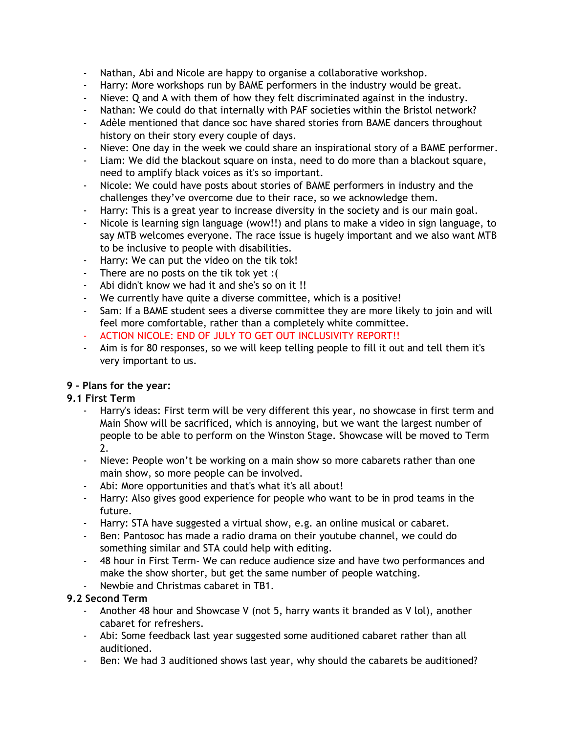- Nathan, Abi and Nicole are happy to organise a collaborative workshop.
- Harry: More workshops run by BAME performers in the industry would be great.
- Nieve: Q and A with them of how they felt discriminated against in the industry.
- Nathan: We could do that internally with PAF societies within the Bristol network?
- Adèle mentioned that dance soc have shared stories from BAME dancers throughout history on their story every couple of days.
- Nieve: One day in the week we could share an inspirational story of a BAME performer.
- Liam: We did the blackout square on insta, need to do more than a blackout square, need to amplify black voices as it's so important.
- Nicole: We could have posts about stories of BAME performers in industry and the challenges they've overcome due to their race, so we acknowledge them.
- Harry: This is a great year to increase diversity in the society and is our main goal.
- Nicole is learning sign language (wow!!) and plans to make a video in sign language, to say MTB welcomes everyone. The race issue is hugely important and we also want MTB to be inclusive to people with disabilities.
- Harry: We can put the video on the tik tok!
- There are no posts on the tik tok yet :(
- Abi didn't know we had it and she's so on it !!
- We currently have quite a diverse committee, which is a positive!
- Sam: If a BAME student sees a diverse committee they are more likely to join and will feel more comfortable, rather than a completely white committee.
- ACTION NICOLE: END OF JULY TO GET OUT INCLUSIVITY REPORT!!
- Aim is for 80 responses, so we will keep telling people to fill it out and tell them it's very important to us.

# **9 - Plans for the year:**

## **9.1 First Term**

- Harry's ideas: First term will be very different this year, no showcase in first term and Main Show will be sacrificed, which is annoying, but we want the largest number of people to be able to perform on the Winston Stage. Showcase will be moved to Term 2.
- Nieve: People won't be working on a main show so more cabarets rather than one main show, so more people can be involved.
- Abi: More opportunities and that's what it's all about!
- Harry: Also gives good experience for people who want to be in prod teams in the future.
- Harry: STA have suggested a virtual show, e.g. an online musical or cabaret.
- Ben: Pantosoc has made a radio drama on their youtube channel, we could do something similar and STA could help with editing.
- 48 hour in First Term- We can reduce audience size and have two performances and make the show shorter, but get the same number of people watching.
- Newbie and Christmas cabaret in TB1.

# **9.2 Second Term**

- Another 48 hour and Showcase V (not 5, harry wants it branded as V lol), another cabaret for refreshers.
- Abi: Some feedback last year suggested some auditioned cabaret rather than all auditioned.
- Ben: We had 3 auditioned shows last year, why should the cabarets be auditioned?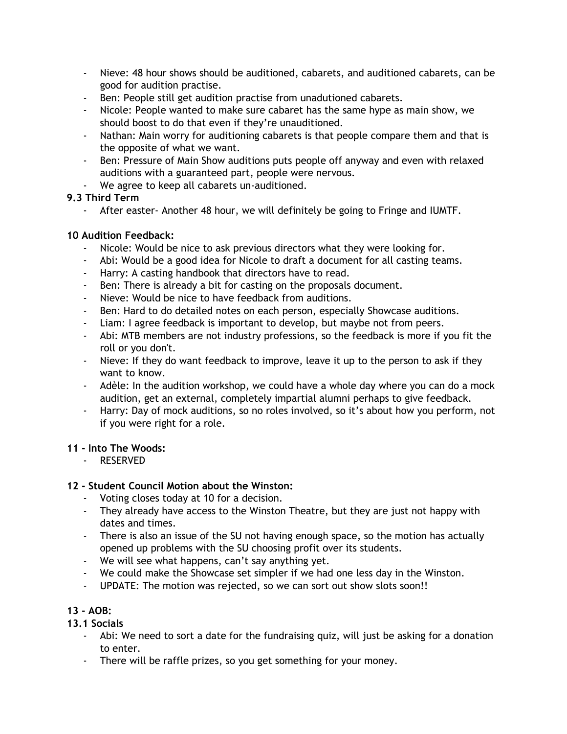- Nieve: 48 hour shows should be auditioned, cabarets, and auditioned cabarets, can be good for audition practise.
- Ben: People still get audition practise from unadutioned cabarets.
- Nicole: People wanted to make sure cabaret has the same hype as main show, we should boost to do that even if they're unauditioned.
- Nathan: Main worry for auditioning cabarets is that people compare them and that is the opposite of what we want.
- Ben: Pressure of Main Show auditions puts people off anyway and even with relaxed auditions with a guaranteed part, people were nervous.
- We agree to keep all cabarets un-auditioned.

#### **9.3 Third Term**

- After easter- Another 48 hour, we will definitely be going to Fringe and IUMTF.

### **10 Audition Feedback:**

- Nicole: Would be nice to ask previous directors what they were looking for.
- Abi: Would be a good idea for Nicole to draft a document for all casting teams.
- Harry: A casting handbook that directors have to read.
- Ben: There is already a bit for casting on the proposals document.
- Nieve: Would be nice to have feedback from auditions.
- Ben: Hard to do detailed notes on each person, especially Showcase auditions.
- Liam: I agree feedback is important to develop, but maybe not from peers.
- Abi: MTB members are not industry professions, so the feedback is more if you fit the roll or you don't.
- Nieve: If they do want feedback to improve, leave it up to the person to ask if they want to know.
- Adèle: In the audition workshop, we could have a whole day where you can do a mock audition, get an external, completely impartial alumni perhaps to give feedback.
- Harry: Day of mock auditions, so no roles involved, so it's about how you perform, not if you were right for a role.

#### **11 - Into The Woods:**

- RESERVED

## **12 - Student Council Motion about the Winston:**

- Voting closes today at 10 for a decision.
- They already have access to the Winston Theatre, but they are just not happy with dates and times.
- There is also an issue of the SU not having enough space, so the motion has actually opened up problems with the SU choosing profit over its students.
- We will see what happens, can't say anything yet.
- We could make the Showcase set simpler if we had one less day in the Winston.
- UPDATE: The motion was rejected, so we can sort out show slots soon!!

## **13 - AOB:**

## **13.1 Socials**

- Abi: We need to sort a date for the fundraising quiz, will just be asking for a donation to enter.
- There will be raffle prizes, so you get something for your money.